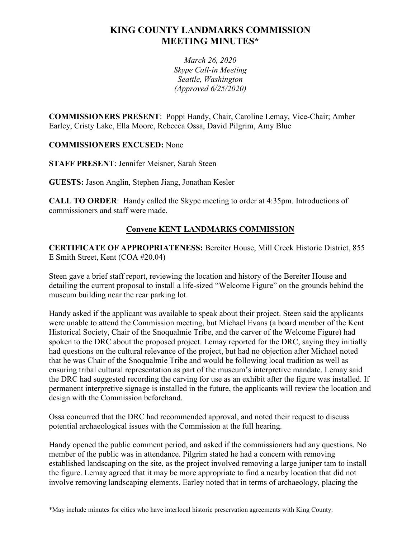# **KING COUNTY LANDMARKS COMMISSION MEETING MINUTES\***

*March 26, 2020 Skype Call-in Meeting Seattle, Washington (Approved 6/25/2020)*

**COMMISSIONERS PRESENT**: Poppi Handy, Chair, Caroline Lemay, Vice-Chair; Amber Earley, Cristy Lake, Ella Moore, Rebecca Ossa, David Pilgrim, Amy Blue

**COMMISSIONERS EXCUSED:** None

**STAFF PRESENT**: Jennifer Meisner, Sarah Steen

**GUESTS:** Jason Anglin, Stephen Jiang, Jonathan Kesler

**CALL TO ORDER**: Handy called the Skype meeting to order at 4:35pm. Introductions of commissioners and staff were made.

## **Convene KENT LANDMARKS COMMISSION**

**CERTIFICATE OF APPROPRIATENESS:** Bereiter House, Mill Creek Historic District, 855 E Smith Street, Kent (COA #20.04)

Steen gave a brief staff report, reviewing the location and history of the Bereiter House and detailing the current proposal to install a life-sized "Welcome Figure" on the grounds behind the museum building near the rear parking lot.

Handy asked if the applicant was available to speak about their project. Steen said the applicants were unable to attend the Commission meeting, but Michael Evans (a board member of the Kent Historical Society, Chair of the Snoqualmie Tribe, and the carver of the Welcome Figure) had spoken to the DRC about the proposed project. Lemay reported for the DRC, saying they initially had questions on the cultural relevance of the project, but had no objection after Michael noted that he was Chair of the Snoqualmie Tribe and would be following local tradition as well as ensuring tribal cultural representation as part of the museum's interpretive mandate. Lemay said the DRC had suggested recording the carving for use as an exhibit after the figure was installed. If permanent interpretive signage is installed in the future, the applicants will review the location and design with the Commission beforehand.

Ossa concurred that the DRC had recommended approval, and noted their request to discuss potential archaeological issues with the Commission at the full hearing.

Handy opened the public comment period, and asked if the commissioners had any questions. No member of the public was in attendance. Pilgrim stated he had a concern with removing established landscaping on the site, as the project involved removing a large juniper tam to install the figure. Lemay agreed that it may be more appropriate to find a nearby location that did not involve removing landscaping elements. Earley noted that in terms of archaeology, placing the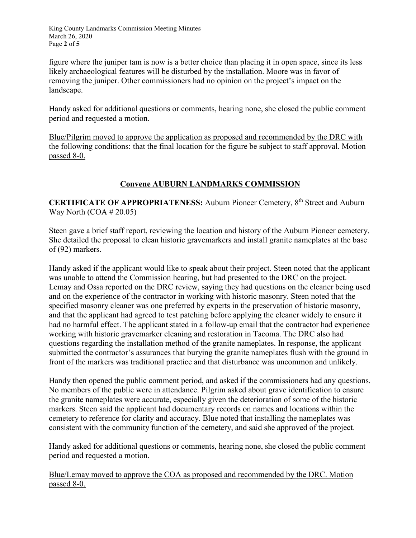King County Landmarks Commission Meeting Minutes March 26, 2020 Page **2** of **5**

figure where the juniper tam is now is a better choice than placing it in open space, since its less likely archaeological features will be disturbed by the installation. Moore was in favor of removing the juniper. Other commissioners had no opinion on the project's impact on the landscape.

Handy asked for additional questions or comments, hearing none, she closed the public comment period and requested a motion.

Blue/Pilgrim moved to approve the application as proposed and recommended by the DRC with the following conditions: that the final location for the figure be subject to staff approval. Motion passed 8-0.

### **Convene AUBURN LANDMARKS COMMISSION**

**CERTIFICATE OF APPROPRIATENESS:** Auburn Pioneer Cemetery, 8th Street and Auburn Way North  $(COA # 20.05)$ 

Steen gave a brief staff report, reviewing the location and history of the Auburn Pioneer cemetery. She detailed the proposal to clean historic gravemarkers and install granite nameplates at the base of (92) markers.

Handy asked if the applicant would like to speak about their project. Steen noted that the applicant was unable to attend the Commission hearing, but had presented to the DRC on the project. Lemay and Ossa reported on the DRC review, saying they had questions on the cleaner being used and on the experience of the contractor in working with historic masonry. Steen noted that the specified masonry cleaner was one preferred by experts in the preservation of historic masonry, and that the applicant had agreed to test patching before applying the cleaner widely to ensure it had no harmful effect. The applicant stated in a follow-up email that the contractor had experience working with historic gravemarker cleaning and restoration in Tacoma. The DRC also had questions regarding the installation method of the granite nameplates. In response, the applicant submitted the contractor's assurances that burying the granite nameplates flush with the ground in front of the markers was traditional practice and that disturbance was uncommon and unlikely.

Handy then opened the public comment period, and asked if the commissioners had any questions. No members of the public were in attendance. Pilgrim asked about grave identification to ensure the granite nameplates were accurate, especially given the deterioration of some of the historic markers. Steen said the applicant had documentary records on names and locations within the cemetery to reference for clarity and accuracy. Blue noted that installing the nameplates was consistent with the community function of the cemetery, and said she approved of the project.

Handy asked for additional questions or comments, hearing none, she closed the public comment period and requested a motion.

Blue/Lemay moved to approve the COA as proposed and recommended by the DRC. Motion passed 8-0.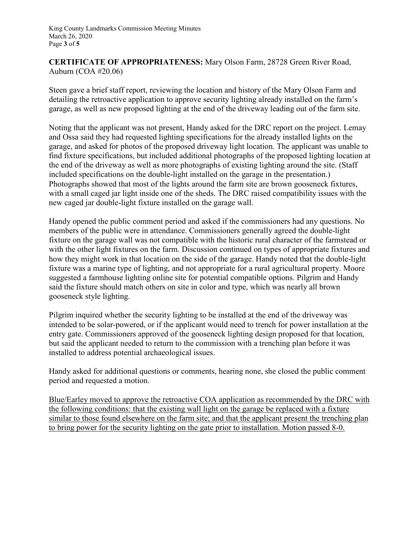**CERTIFICATE OF APPROPRIATENESS:** Mary Olson Farm, 28728 Green River Road, Auburn (COA #20.06)

Steen gave a brief staff report, reviewing the location and history of the Mary Olson Farm and detailing the retroactive application to approve security lighting already installed on the farm's garage, as well as new proposed lighting at the end of the driveway leading out of the farm site.

Noting that the applicant was not present, Handy asked for the DRC report on the project. Lemay and Ossa said they had requested lighting specifications for the already installed lights on the garage, and asked for photos of the proposed driveway light location. The applicant was unable to find fixture specifications, but included additional photographs of the proposed lighting location at the end of the driveway as well as more photographs of existing lighting around the site. (Staff included specifications on the double-light installed on the garage in the presentation.) Photographs showed that most of the lights around the farm site are brown gooseneck fixtures, with a small caged jar light inside one of the sheds. The DRC raised compatibility issues with the new caged jar double-light fixture installed on the garage wall.

Handy opened the public comment period and asked if the commissioners had any questions. No members of the public were in attendance. Commissioners generally agreed the double-light fixture on the garage wall was not compatible with the historic rural character of the farmstead or with the other light fixtures on the farm. Discussion continued on types of appropriate fixtures and how they might work in that location on the side of the garage. Handy noted that the double-light fixture was a marine type of lighting, and not appropriate for a rural agricultural property. Moore suggested a farmhouse lighting online site for potential compatible options. Pilgrim and Handy said the fixture should match others on site in color and type, which was nearly all brown gooseneck style lighting.

Pilgrim inquired whether the security lighting to be installed at the end of the driveway was intended to be solar-powered, or if the applicant would need to trench for power installation at the entry gate. Commissioners approved of the gooseneck lighting design proposed for that location, but said the applicant needed to return to the commission with a trenching plan before it was installed to address potential archaeological issues.

Handy asked for additional questions or comments, hearing none, she closed the public comment period and requested a motion.

Blue/Earley moved to approve the retroactive COA application as recommended by the DRC with the following conditions: that the existing wall light on the garage be replaced with a fixture similar to those found elsewhere on the farm site; and that the applicant present the trenching plan to bring power for the security lighting on the gate prior to installation. Motion passed 8-0.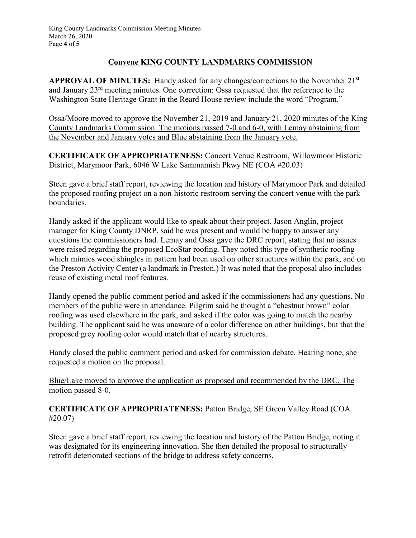## **Convene KING COUNTY LANDMARKS COMMISSION**

**APPROVAL OF MINUTES:** Handy asked for any changes/corrections to the November 21st and January 23rd meeting minutes. One correction: Ossa requested that the reference to the Washington State Heritage Grant in the Reard House review include the word "Program."

Ossa/Moore moved to approve the November 21, 2019 and January 21, 2020 minutes of the King County Landmarks Commission. The motions passed 7-0 and 6-0, with Lemay abstaining from the November and January votes and Blue abstaining from the January vote.

**CERTIFICATE OF APPROPRIATENESS:** Concert Venue Restroom, Willowmoor Historic District, Marymoor Park, 6046 W Lake Sammamish Pkwy NE (COA #20.03)

Steen gave a brief staff report, reviewing the location and history of Marymoor Park and detailed the proposed roofing project on a non-historic restroom serving the concert venue with the park boundaries.

Handy asked if the applicant would like to speak about their project. Jason Anglin, project manager for King County DNRP, said he was present and would be happy to answer any questions the commissioners had. Lemay and Ossa gave the DRC report, stating that no issues were raised regarding the proposed EcoStar roofing. They noted this type of synthetic roofing which mimics wood shingles in pattern had been used on other structures within the park, and on the Preston Activity Center (a landmark in Preston.) It was noted that the proposal also includes reuse of existing metal roof features.

Handy opened the public comment period and asked if the commissioners had any questions. No members of the public were in attendance. Pilgrim said he thought a "chestnut brown" color roofing was used elsewhere in the park, and asked if the color was going to match the nearby building. The applicant said he was unaware of a color difference on other buildings, but that the proposed grey roofing color would match that of nearby structures.

Handy closed the public comment period and asked for commission debate. Hearing none, she requested a motion on the proposal.

Blue/Lake moved to approve the application as proposed and recommended by the DRC. The motion passed 8-0.

**CERTIFICATE OF APPROPRIATENESS:** Patton Bridge, SE Green Valley Road (COA #20.07)

Steen gave a brief staff report, reviewing the location and history of the Patton Bridge, noting it was designated for its engineering innovation. She then detailed the proposal to structurally retrofit deteriorated sections of the bridge to address safety concerns.